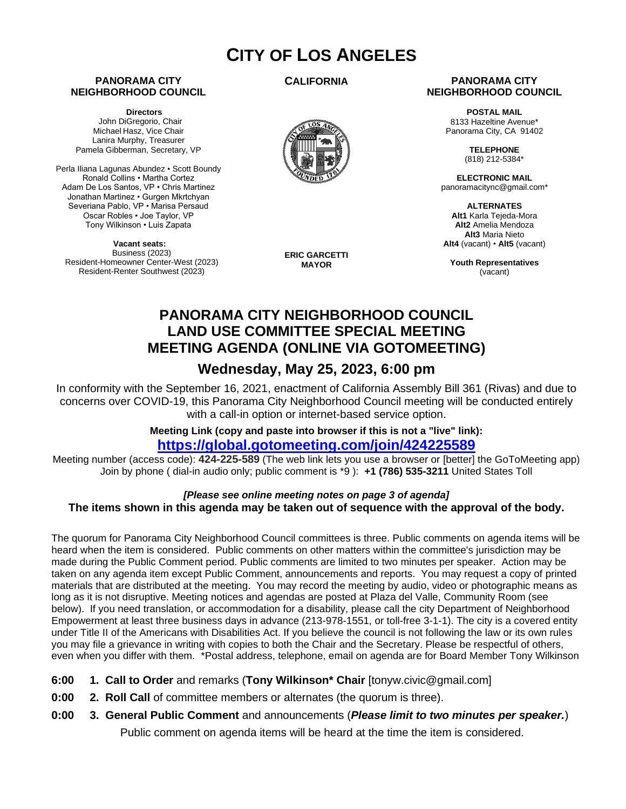# **CITY OF LOS ANGELES**

### **PANORAMA CITY NEIGHBORHOOD COUNCIL**

**Directors** John DiGregorio, Chair Michael Hasz, Vice Chair Lanira Murphy, Treasurer Pamela Gibberman, Secretary, VP

Perla Iliana Lagunas Abundez • Scott Boundy Ronald Collins • Martha Cortez Adam De Los Santos, VP • Chris Martinez Jonathan Martinez • Gurgen Mkrtchyan Severiana Pablo, VP • Marisa Persaud Oscar Robles • Joe Taylor, VP Tony Wilkinson • Luis Zapata

**Vacant seats:**  Business (2023) Resident-Homeowner Center-West (2023) Resident-Renter Southwest (2023)

**CALIFORNIA**



**ERIC GARCETTI MAYOR**

### **PANORAMA CITY NEIGHBORHOOD COUNCIL**

**POSTAL MAIL** 8133 Hazeltine Avenue\* Panorama City, CA 91402

> **TELEPHONE** (818) 212-5384\*

**ELECTRONIC MAIL** panoramacitync@gmail.com\*

**ALTERNATES Alt1** Karla Tejeda-Mora **Alt2** Amelia Mendoza **Alt3** Maria Nieto **Alt4** (vacant) • **Alt5** (vacant)

**Youth Representatives** (vacant)

# **PANORAMA CITY NEIGHBORHOOD COUNCIL LAND USE COMMITTEE SPECIAL MEETING MEETING AGENDA (ONLINE VIA GOTOMEETING)**

# **Wednesday, May 25, 2023, 6:00 pm**

In conformity with the September 16, 2021, enactment of California Assembly Bill 361 (Rivas) and due to concerns over COVID-19, this Panorama City Neighborhood Council meeting will be conducted entirely with a call-in option or internet-based service option.

> **Meeting Link (copy and paste into browser if this is not a "live" link): <https://global.gotomeeting.com/join/424225589>**

Meeting number (access code): **424-225-589** (The web link lets you use a browser or [better] the GoToMeeting app) Join by phone ( dial-in audio only; public comment is \*9 ): **+1 (786) 535-3211** United States Toll

## *[Please see online meeting notes on page 3 of agenda]* **The items shown in this agenda may be taken out of sequence with the approval of the body.**

The quorum for Panorama City Neighborhood Council committees is three. Public comments on agenda items will be heard when the item is considered. Public comments on other matters within the committee's jurisdiction may be made during the Public Comment period. Public comments are limited to two minutes per speaker. Action may be taken on any agenda item except Public Comment, announcements and reports. You may request a copy of printed materials that are distributed at the meeting. You may record the meeting by audio, video or photographic means as long as it is not disruptive. Meeting notices and agendas are posted at Plaza del Valle, Community Room (see below). If you need translation, or accommodation for a disability, please call the city Department of Neighborhood Empowerment at least three business days in advance (213-978-1551, or toll-free 3-1-1). The city is a covered entity under Title II of the Americans with Disabilities Act. If you believe the council is not following the law or its own rules you may file a grievance in writing with copies to both the Chair and the Secretary. Please be respectful of others, even when you differ with them. \*Postal address, telephone, email on agenda are for Board Member Tony Wilkinson

- **6:00 1. Call to Order** and remarks (**Tony Wilkinson\* Chair** [tonyw.civic@gmail.com]
- **0:00 2. Roll Call** of committee members or alternates (the quorum is three).
- **0:00 3. General Public Comment** and announcements (*Please limit to two minutes per speaker.*) Public comment on agenda items will be heard at the time the item is considered.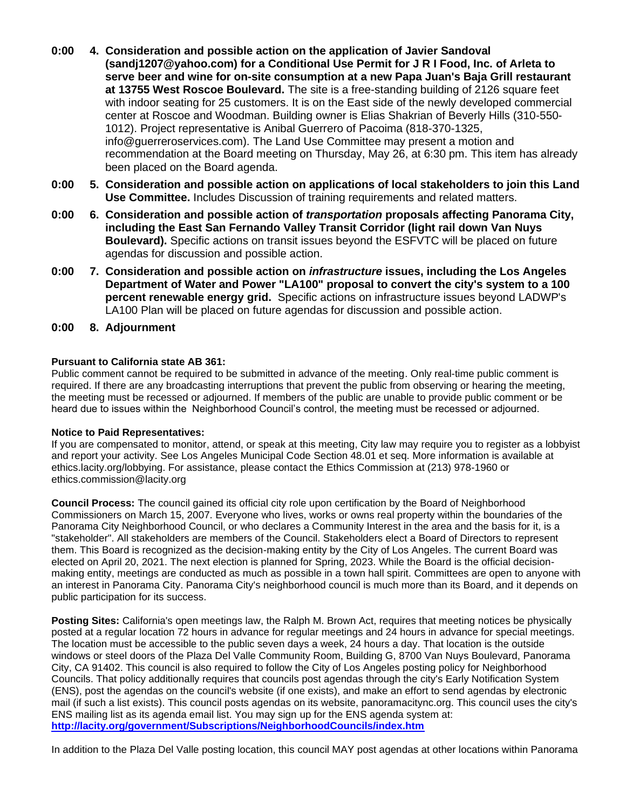- **0:00 4. Consideration and possible action on the application of Javier Sandoval (sandj1207@yahoo.com) for a Conditional Use Permit for J R I Food, Inc. of Arleta to serve beer and wine for on-site consumption at a new Papa Juan's Baja Grill restaurant at 13755 West Roscoe Boulevard.** The site is a free-standing building of 2126 square feet with indoor seating for 25 customers. It is on the East side of the newly developed commercial center at Roscoe and Woodman. Building owner is Elias Shakrian of Beverly Hills (310-550- 1012). Project representative is Anibal Guerrero of Pacoima (818-370-1325, info@guerreroservices.com). The Land Use Committee may present a motion and recommendation at the Board meeting on Thursday, May 26, at 6:30 pm. This item has already been placed on the Board agenda.
- **0:00 5. Consideration and possible action on applications of local stakeholders to join this Land Use Committee.** Includes Discussion of training requirements and related matters.
- **0:00 6. Consideration and possible action of** *transportation* **proposals affecting Panorama City, including the East San Fernando Valley Transit Corridor (light rail down Van Nuys Boulevard).** Specific actions on transit issues beyond the ESFVTC will be placed on future agendas for discussion and possible action.
- **0:00 7. Consideration and possible action on** *infrastructure* **issues, including the Los Angeles Department of Water and Power "LA100" proposal to convert the city's system to a 100 percent renewable energy grid.** Specific actions on infrastructure issues beyond LADWP's LA100 Plan will be placed on future agendas for discussion and possible action.
- **0:00 8. Adjournment**

### **Pursuant to California state AB 361:**

Public comment cannot be required to be submitted in advance of the meeting. Only real-time public comment is required. If there are any broadcasting interruptions that prevent the public from observing or hearing the meeting, the meeting must be recessed or adjourned. If members of the public are unable to provide public comment or be heard due to issues within the Neighborhood Council's control, the meeting must be recessed or adjourned.

#### **Notice to Paid Representatives:**

If you are compensated to monitor, attend, or speak at this meeting, City law may require you to register as a lobbyist and report your activity. See Los Angeles Municipal Code Section 48.01 et seq. More information is available at ethics.lacity.org/lobbying. For assistance, please contact the Ethics Commission at (213) 978-1960 or ethics.commission@lacity.org

**Council Process:** The council gained its official city role upon certification by the Board of Neighborhood Commissioners on March 15, 2007. Everyone who lives, works or owns real property within the boundaries of the Panorama City Neighborhood Council, or who declares a Community Interest in the area and the basis for it, is a "stakeholder". All stakeholders are members of the Council. Stakeholders elect a Board of Directors to represent them. This Board is recognized as the decision-making entity by the City of Los Angeles. The current Board was elected on April 20, 2021. The next election is planned for Spring, 2023. While the Board is the official decisionmaking entity, meetings are conducted as much as possible in a town hall spirit. Committees are open to anyone with an interest in Panorama City. Panorama City's neighborhood council is much more than its Board, and it depends on public participation for its success.

**Posting Sites:** California's open meetings law, the Ralph M. Brown Act, requires that meeting notices be physically posted at a regular location 72 hours in advance for regular meetings and 24 hours in advance for special meetings. The location must be accessible to the public seven days a week, 24 hours a day. That location is the outside windows or steel doors of the Plaza Del Valle Community Room, Building G, 8700 Van Nuys Boulevard, Panorama City, CA 91402. This council is also required to follow the City of Los Angeles posting policy for Neighborhood Councils. That policy additionally requires that councils post agendas through the city's Early Notification System (ENS), post the agendas on the council's website (if one exists), and make an effort to send agendas by electronic mail (if such a list exists). This council posts agendas on its website, panoramacitync.org. This council uses the city's ENS mailing list as its agenda email list. You may sign up for the ENS agenda system at: **<http://lacity.org/government/Subscriptions/NeighborhoodCouncils/index.htm>**

In addition to the Plaza Del Valle posting location, this council MAY post agendas at other locations within Panorama